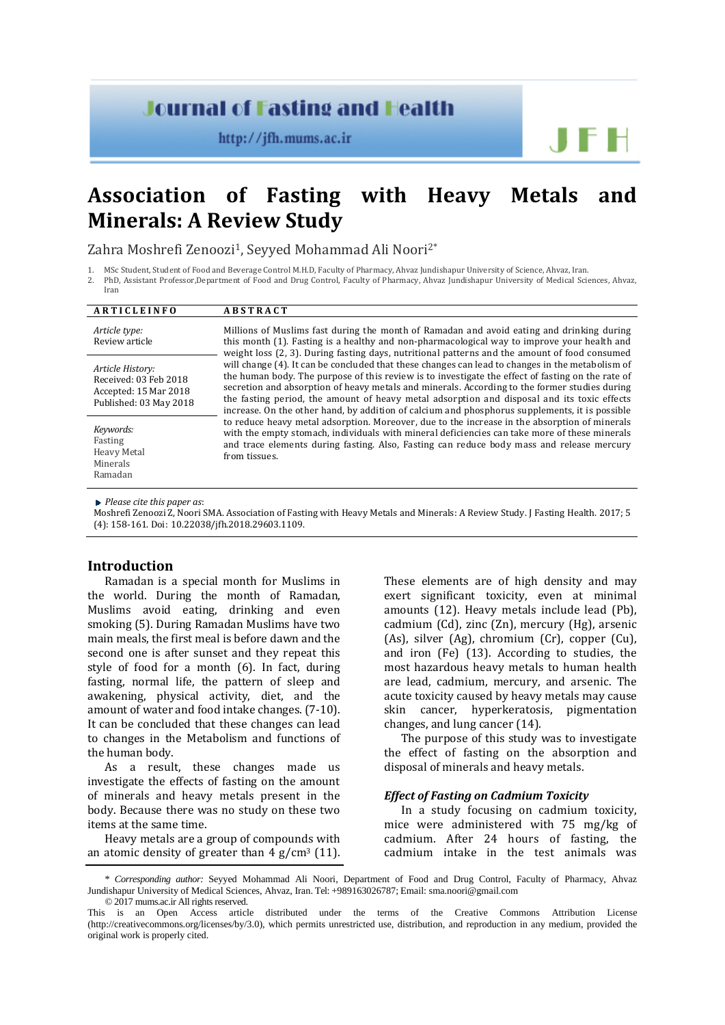# **Journal of Fasting and Health**

http://jfh.mums.ac.ir

**Association of Fasting with Heavy Metals and Minerals: A Review Study**

Zahra Moshrefi Zenoozi<sup>1</sup>, Seyyed Mohammad Ali Noori<sup>2\*</sup>

2. PhD, Assistant Professor,Department of Food and Drug Control, Faculty of Pharmacy, Ahvaz Jundishapur University of Medical Sciences, Ahvaz, Iran

| ARTICLEINFO                                                                                  | <b>ABSTRACT</b>                                                                                                                                                                                                                                                                                                                                                                                                                                                                                         |
|----------------------------------------------------------------------------------------------|---------------------------------------------------------------------------------------------------------------------------------------------------------------------------------------------------------------------------------------------------------------------------------------------------------------------------------------------------------------------------------------------------------------------------------------------------------------------------------------------------------|
|                                                                                              |                                                                                                                                                                                                                                                                                                                                                                                                                                                                                                         |
| Article type:<br>Review article                                                              | Millions of Muslims fast during the month of Ramadan and avoid eating and drinking during<br>this month (1). Fasting is a healthy and non-pharmacological way to improve your health and<br>weight loss (2, 3). During fasting days, nutritional patterns and the amount of food consumed                                                                                                                                                                                                               |
| Article History:<br>Received: 03 Feb 2018<br>Accepted: 15 Mar 2018<br>Published: 03 May 2018 | will change (4). It can be concluded that these changes can lead to changes in the metabolism of<br>the human body. The purpose of this review is to investigate the effect of fasting on the rate of<br>secretion and absorption of heavy metals and minerals. According to the former studies during<br>the fasting period, the amount of heavy metal adsorption and disposal and its toxic effects<br>increase. On the other hand, by addition of calcium and phosphorus supplements, it is possible |
| Keywords:<br>Fasting<br><b>Heavy Metal</b><br>Minerals<br>Ramadan                            | to reduce heavy metal adsorption. Moreover, due to the increase in the absorption of minerals<br>with the empty stomach, individuals with mineral deficiencies can take more of these minerals<br>and trace elements during fasting. Also, Fasting can reduce body mass and release mercury<br>from tissues.                                                                                                                                                                                            |

*Please cite this paper as*:

Moshrefi Zenoozi Z, Noori SMA. Association of Fasting with Heavy Metals and Minerals: A Review Study. J Fasting Health. 2017; 5 (4): 158-161. Doi: 10.22038/jfh.2018.29603.1109.

### **Introduction**

Ramadan is a special month for Muslims in the world. During the month of Ramadan, Muslims avoid eating, drinking and even smoking (5). During Ramadan Muslims have two main meals, the first meal is before dawn and the second one is after sunset and they repeat this style of food for a month (6). In fact, during fasting, normal life, the pattern of sleep and awakening, physical activity, diet, and the amount of water and food intake changes. (7-10). It can be concluded that these changes can lead to changes in the Metabolism and functions of the human body.

As a result, these changes made us investigate the effects of fasting on the amount of minerals and heavy metals present in the body. Because there was no study on these two items at the same time.

Heavy metals are a group of compounds with an atomic density of greater than  $4 \text{ g/cm}^3$  (11). These elements are of high density and may exert significant toxicity, even at minimal amounts (12). Heavy metals include lead (Pb), cadmium (Cd), zinc (Zn), mercury (Hg), arsenic (As), silver (Ag), chromium (Cr), copper (Cu), and iron (Fe) (13). According to studies, the most hazardous heavy metals to human health are lead, cadmium, mercury, and arsenic. The acute toxicity caused by heavy metals may cause skin cancer, hyperkeratosis, pigmentation changes, and lung cancer (14).

The purpose of this study was to investigate the effect of fasting on the absorption and disposal of minerals and heavy metals.

#### *Effect of Fasting on Cadmium Toxicity*

In a study focusing on cadmium toxicity, mice were administered with 75 mg/kg of cadmium. After 24 hours of fasting, the cadmium intake in the test animals was

<sup>1.</sup> MSc Student, Student of Food and Beverage Control M.H.D, Faculty of Pharmacy, Ahvaz Jundishapur University of Science, Ahvaz, Iran.

<sup>\*</sup> *Corresponding author:* Seyyed Mohammad Ali Noori, Department of Food and Drug Control, Faculty of Pharmacy, Ahvaz Jundishapur University of Medical Sciences, Ahvaz, Iran. Tel: +989163026787; Email[: sma.noori@gmail.com](mailto:sma.noori@gmail.com) © 2017 mums.ac.ir All rights reserved.

This is an Open Access article distributed under the terms of the Creative Commons Attribution License (http://creativecommons.org/licenses/by/3.0), which permits unrestricted use, distribution, and reproduction in any medium, provided the original work is properly cited.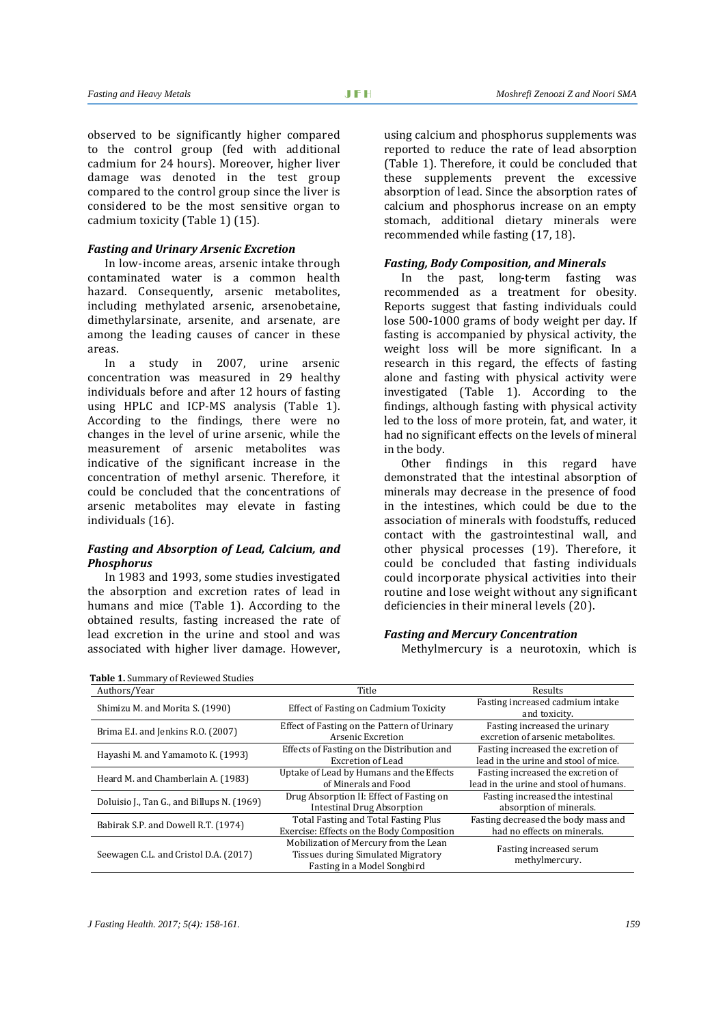observed to be significantly higher compared to the control group (fed with additional cadmium for 24 hours). Moreover, higher liver damage was denoted in the test group compared to the control group since the liver is considered to be the most sensitive organ to cadmium toxicity (Table 1) (15).

#### *Fasting and Urinary Arsenic Excretion*

In low-income areas, arsenic intake through contaminated water is a common health hazard. Consequently, arsenic metabolites, including methylated arsenic, arsenobetaine, dimethylarsinate, arsenite, and arsenate, are among the leading causes of cancer in these areas.

In a study in 2007, urine arsenic concentration was measured in 29 healthy individuals before and after 12 hours of fasting using HPLC and ICP-MS analysis (Table 1). According to the findings, there were no changes in the level of urine arsenic, while the measurement of arsenic metabolites was indicative of the significant increase in the concentration of methyl arsenic. Therefore, it could be concluded that the concentrations of arsenic metabolites may elevate in fasting individuals (16).

#### *Fasting and Absorption of Lead, Calcium, and Phosphorus*

In 1983 and 1993, some studies investigated the absorption and excretion rates of lead in humans and mice (Table 1). According to the obtained results, fasting increased the rate of lead excretion in the urine and stool and was associated with higher liver damage. However, using calcium and phosphorus supplements was reported to reduce the rate of lead absorption (Table 1). Therefore, it could be concluded that these supplements prevent the excessive absorption of lead. Since the absorption rates of calcium and phosphorus increase on an empty stomach, additional dietary minerals were recommended while fasting (17, 18).

## *Fasting, Body Composition, and Minerals*

In the past, long-term fasting was recommended as a treatment for obesity. Reports suggest that fasting individuals could lose 500-1000 grams of body weight per day. If fasting is accompanied by physical activity, the weight loss will be more significant. In a research in this regard, the effects of fasting alone and fasting with physical activity were investigated (Table 1). According to the findings, although fasting with physical activity led to the loss of more protein, fat, and water, it had no significant effects on the levels of mineral in the body.

Other findings in this regard have demonstrated that the intestinal absorption of minerals may decrease in the presence of food in the intestines, which could be due to the association of minerals with foodstuffs, reduced contact with the gastrointestinal wall, and other physical processes (19). Therefore, it could be concluded that fasting individuals could incorporate physical activities into their routine and lose weight without any significant deficiencies in their mineral levels (20).

#### *Fasting and Mercury Concentration*

Methylmercury is a neurotoxin, which is

| <b>Table 1. Summary of Reviewed Studies</b> |                                                                                                            |                                                                              |  |
|---------------------------------------------|------------------------------------------------------------------------------------------------------------|------------------------------------------------------------------------------|--|
| Authors/Year                                | Title                                                                                                      | Results                                                                      |  |
| Shimizu M. and Morita S. (1990)             | Effect of Fasting on Cadmium Toxicity                                                                      | Fasting increased cadmium intake<br>and toxicity.                            |  |
| Brima E.I. and Jenkins R.O. (2007)          | Effect of Fasting on the Pattern of Urinary<br>Arsenic Excretion                                           | Fasting increased the urinary<br>excretion of arsenic metabolites.           |  |
| Hayashi M. and Yamamoto K. (1993)           | Effects of Fasting on the Distribution and<br>Excretion of Lead                                            | Fasting increased the excretion of<br>lead in the urine and stool of mice.   |  |
| Heard M. and Chamberlain A. (1983)          | Uptake of Lead by Humans and the Effects<br>of Minerals and Food                                           | Fasting increased the excretion of<br>lead in the urine and stool of humans. |  |
| Doluisio J., Tan G., and Billups N. (1969)  | Drug Absorption II: Effect of Fasting on<br><b>Intestinal Drug Absorption</b>                              | Fasting increased the intestinal<br>absorption of minerals.                  |  |
| Babirak S.P. and Dowell R.T. (1974)         | Total Fasting and Total Fasting Plus<br>Exercise: Effects on the Body Composition                          | Fasting decreased the body mass and<br>had no effects on minerals.           |  |
| Seewagen C.L. and Cristol D.A. (2017)       | Mobilization of Mercury from the Lean<br>Tissues during Simulated Migratory<br>Fasting in a Model Songbird | Fasting increased serum<br>methylmercury.                                    |  |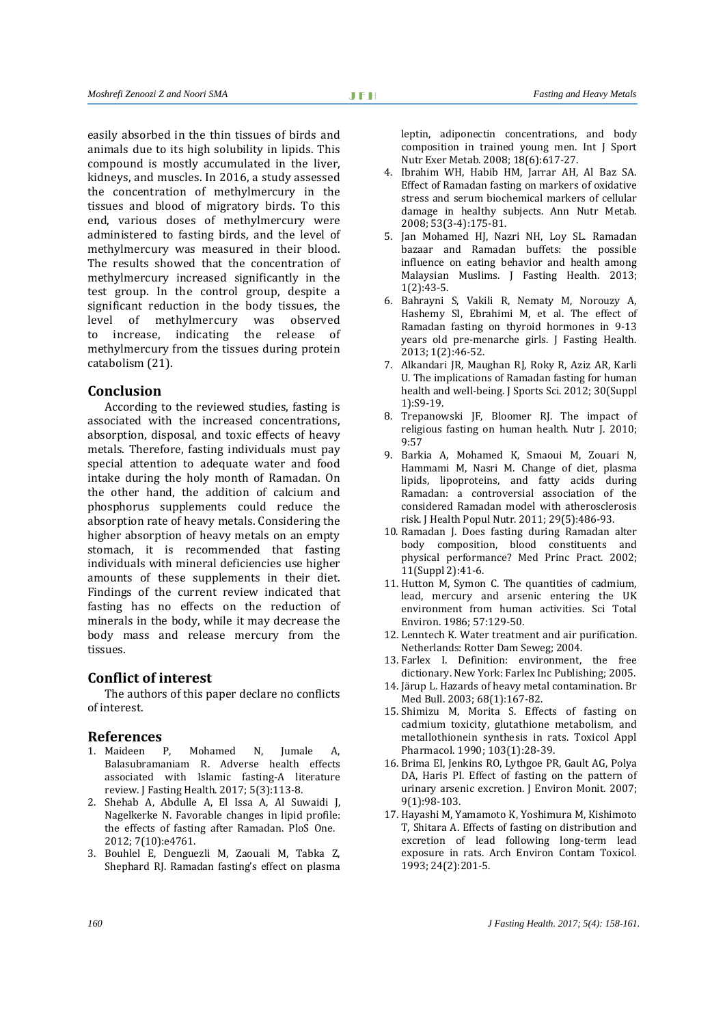easily absorbed in the thin tissues of birds and animals due to its high solubility in lipids. This compound is mostly accumulated in the liver, kidneys, and muscles. In 2016, a study assessed the concentration of methylmercury in the tissues and blood of migratory birds. To this end, various doses of methylmercury were administered to fasting birds, and the level of methylmercury was measured in their blood. The results showed that the concentration of methylmercury increased significantly in the test group. In the control group, despite a significant reduction in the body tissues, the<br>level of methylmercury was observed level of methylmercury<br>to increase, indicating indicating the release of methylmercury from the tissues during protein catabolism (21).

## **Conclusion**

According to the reviewed studies, fasting is associated with the increased concentrations, absorption, disposal, and toxic effects of heavy metals. Therefore, fasting individuals must pay special attention to adequate water and food intake during the holy month of Ramadan. On the other hand, the addition of calcium and phosphorus supplements could reduce the absorption rate of heavy metals. Considering the higher absorption of heavy metals on an empty stomach, it is recommended that fasting individuals with mineral deficiencies use higher amounts of these supplements in their diet. Findings of the current review indicated that fasting has no effects on the reduction of minerals in the body, while it may decrease the body mass and release mercury from the tissues.

## **Conflict of interest**

The authors of this paper declare no conflicts of interest.

### **References**

- 1. Maideen P, Mohamed N, Jumale A, Balasubramaniam R. Adverse health effects associated with Islamic fasting-A literature review. J Fasting Health. 2017; 5(3):113-8.
- 2. Shehab A, Abdulle A, El Issa A, Al Suwaidi J, Nagelkerke N. Favorable changes in lipid profile: the effects of fasting after Ramadan. PloS One. 2012; 7(10):e4761.
- 3. Bouhlel E, Denguezli M, Zaouali M, Tabka Z, Shephard RJ. Ramadan fasting's effect on plasma
- 4. Ibrahim WH, Habib HM, Jarrar AH, Al Baz SA. Effect of Ramadan fasting on markers of oxidative stress and serum biochemical markers of cellular damage in healthy subjects. Ann Nutr Metab. 2008; 53(3-4):175-81.
- 5. Jan Mohamed HJ, Nazri NH, Loy SL. Ramadan bazaar and Ramadan buffets: the possible influence on eating behavior and health among Malaysian Muslims. J Fasting Health. 2013; 1(2):43-5.
- 6. Bahrayni S, Vakili R, Nematy M, Norouzy A, Hashemy SI, Ebrahimi M, et al. The effect of Ramadan fasting on thyroid hormones in 9-13 years old pre-menarche girls. J Fasting Health. 2013; 1(2):46-52.
- 7. Alkandari JR, Maughan RJ, Roky R, Aziz AR, Karli U. The implications of Ramadan fasting for human health and well-being. J Sports Sci. 2012; 30(Suppl 1):S9-19.
- 8. Trepanowski JF, Bloomer RJ. The impact of religious fasting on human health. Nutr J. 2010; 9:57
- 9. Barkia A, Mohamed K, Smaoui M, Zouari N, Hammami M, Nasri M. Change of diet, plasma lipids, lipoproteins, and fatty acids during Ramadan: a controversial association of the considered Ramadan model with atherosclerosis risk. J Health Popul Nutr. 2011; 29(5):486-93.
- 10. Ramadan J. Does fasting during Ramadan alter body composition, blood constituents and physical performance? Med Princ Pract. 2002; 11(Suppl 2):41-6.
- 11. Hutton M, Symon C. The quantities of cadmium, lead, mercury and arsenic entering the UK environment from human activities. Sci Total Environ. 1986; 57:129-50.
- 12. Lenntech K. Water treatment and air purification. Netherlands: Rotter Dam Seweg; 2004.
- 13. Farlex I. Definition: environment, the free dictionary. New York: Farlex Inc Publishing; 2005.
- 14. Järup L. Hazards of heavy metal contamination. Br Med Bull. 2003; 68(1):167-82.
- 15. Shimizu M, Morita S. Effects of fasting on cadmium toxicity, glutathione metabolism, and metallothionein synthesis in rats. Toxicol Appl Pharmacol. 1990; 103(1):28-39.
- 16. Brima EI, Jenkins RO, Lythgoe PR, Gault AG, Polya DA, Haris PI. Effect of fasting on the pattern of urinary arsenic excretion. J Environ Monit. 2007; 9(1):98-103.
- 17. Hayashi M, Yamamoto K, Yoshimura M, Kishimoto T, Shitara A. Effects of fasting on distribution and excretion of lead following long-term lead exposure in rats. Arch Environ Contam Toxicol. 1993; 24(2):201-5.